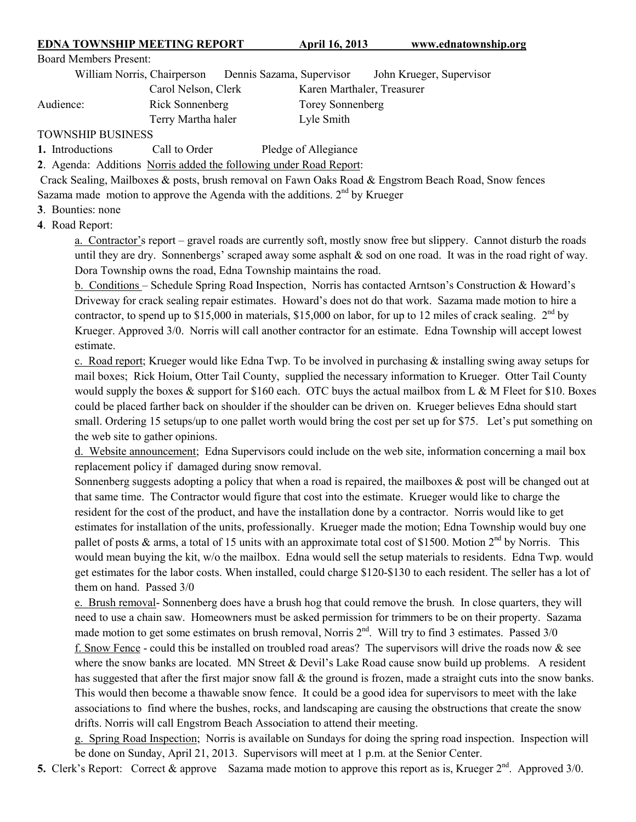## **EDNA TOWNSHIP MEETING REPORT April 16, 2013 www.ednatownship.org**

Board Members Present:

William Norris, Chairperson Dennis Sazama, Supervisor John Krueger, Supervisor Carol Nelson, Clerk Karen Marthaler, Treasurer

## Audience: Rick Sonnenberg Torey Sonnenberg

Terry Martha haler Lyle Smith

TOWNSHIP BUSINESS

1. Introductions Call to Order Pledge of Allegiance

**2**. Agenda: Additions Norris added the following under Road Report:

 Crack Sealing, Mailboxes & posts, brush removal on Fawn Oaks Road & Engstrom Beach Road, Snow fences Sazama made motion to approve the Agenda with the additions.  $2<sup>nd</sup>$  by Krueger

**3**. Bounties: none

**4**. Road Report:

a. Contractor's report – gravel roads are currently soft, mostly snow free but slippery. Cannot disturb the roads until they are dry. Sonnenbergs' scraped away some asphalt & sod on one road. It was in the road right of way. Dora Township owns the road, Edna Township maintains the road.

b. Conditions – Schedule Spring Road Inspection, Norris has contacted Arntson's Construction & Howard's Driveway for crack sealing repair estimates. Howard's does not do that work. Sazama made motion to hire a contractor, to spend up to \$15,000 in materials, \$15,000 on labor, for up to 12 miles of crack sealing.  $2<sup>nd</sup>$  by Krueger. Approved 3/0. Norris will call another contractor for an estimate. Edna Township will accept lowest estimate.

c. Road report; Krueger would like Edna Twp. To be involved in purchasing  $\&$  installing swing away setups for mail boxes; Rick Hoium, Otter Tail County, supplied the necessary information to Krueger. Otter Tail County would supply the boxes  $&$  support for \$160 each. OTC buys the actual mailbox from L  $&$  M Fleet for \$10. Boxes could be placed farther back on shoulder if the shoulder can be driven on. Krueger believes Edna should start small. Ordering 15 setups/up to one pallet worth would bring the cost per set up for \$75. Let's put something on the web site to gather opinions.

d. Website announcement; Edna Supervisors could include on the web site, information concerning a mail box replacement policy if damaged during snow removal.

Sonnenberg suggests adopting a policy that when a road is repaired, the mailboxes  $\&$  post will be changed out at that same time. The Contractor would figure that cost into the estimate. Krueger would like to charge the resident for the cost of the product, and have the installation done by a contractor. Norris would like to get estimates for installation of the units, professionally. Krueger made the motion; Edna Township would buy one pallet of posts & arms, a total of 15 units with an approximate total cost of \$1500. Motion  $2^{nd}$  by Norris. This would mean buying the kit, w/o the mailbox. Edna would sell the setup materials to residents. Edna Twp. would get estimates for the labor costs. When installed, could charge \$120-\$130 to each resident. The seller has a lot of them on hand. Passed 3/0

e. Brush removal- Sonnenberg does have a brush hog that could remove the brush. In close quarters, they will need to use a chain saw. Homeowners must be asked permission for trimmers to be on their property. Sazama made motion to get some estimates on brush removal, Norris  $2<sup>nd</sup>$ . Will try to find 3 estimates. Passed  $3/0$ f. Snow Fence - could this be installed on troubled road areas? The supervisors will drive the roads now & see where the snow banks are located. MN Street & Devil's Lake Road cause snow build up problems. A resident has suggested that after the first major snow fall & the ground is frozen, made a straight cuts into the snow banks. This would then become a thawable snow fence. It could be a good idea for supervisors to meet with the lake associations to find where the bushes, rocks, and landscaping are causing the obstructions that create the snow drifts. Norris will call Engstrom Beach Association to attend their meeting.

g. Spring Road Inspection; Norris is available on Sundays for doing the spring road inspection. Inspection will be done on Sunday, April 21, 2013. Supervisors will meet at 1 p.m. at the Senior Center.

**5.** Clerk's Report: Correct & approve Sazama made motion to approve this report as is, Krueger  $2^{nd}$ . Approved 3/0.